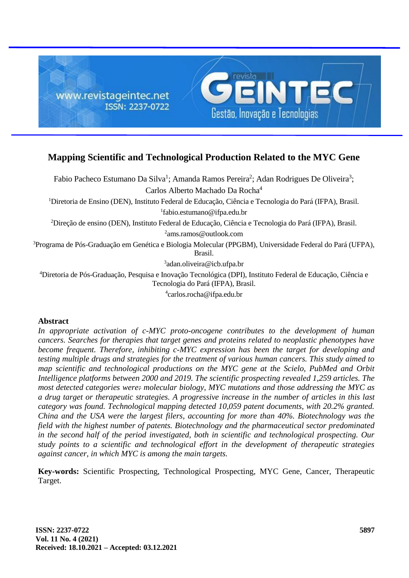

# **Mapping Scientific and Technological Production Related to the MYC Gene**

Fabio Pacheco Estumano Da Silva<sup>1</sup>; Amanda Ramos Pereira<sup>2</sup>; Adan Rodrigues De Oliveira<sup>3</sup>; Carlos Alberto Machado Da Rocha<sup>4</sup>

<sup>1</sup>Diretoria de Ensino (DEN), Instituto Federal de Educação, Ciência e Tecnologia do Pará (IFPA), Brasil. 1 fabio.estumano@ifpa.edu.br

<sup>2</sup>Direção de ensino (DEN), Instituto Federal de Educação, Ciência e Tecnologia do Pará (IFPA), Brasil. 2 ams.ramos@outlook.com

<sup>3</sup>Programa de Pós-Graduação em Genética e Biologia Molecular (PPGBM), Universidade Federal do Pará (UFPA), Brasil.

3 adan.oliveira@icb.ufpa.br

<sup>4</sup>Diretoria de Pós-Graduação, Pesquisa e Inovação Tecnológica (DPI), Instituto Federal de Educação, Ciência e Tecnologia do Pará (IFPA), Brasil.

4 carlos.rocha@ifpa.edu.br

#### **Abstract**

*In appropriate activation of c-MYC proto-oncogene contributes to the development of human cancers. Searches for therapies that target genes and proteins related to neoplastic phenotypes have become frequent. Therefore, inhibiting c-MYC expression has been the target for developing and testing multiple drugs and strategies for the treatment of various human cancers. This study aimed to map scientific and technological productions on the MYC gene at the Scielo, PubMed and Orbit Intelligence platforms between 2000 and 2019. The scientific prospecting revealed 1,259 articles. The most detected categories were: molecular biology, MYC mutations and those addressing the MYC as a drug target or therapeutic strategies. A progressive increase in the number of articles in this last category was found. Technological mapping detected 10,059 patent documents, with 20.2% granted. China and the USA were the largest filers, accounting for more than 40%. Biotechnology was the field with the highest number of patents. Biotechnology and the pharmaceutical sector predominated in the second half of the period investigated, both in scientific and technological prospecting. Our study points to a scientific and technological effort in the development of therapeutic strategies against cancer, in which MYC is among the main targets.*

**Key-words:** Scientific Prospecting, Technological Prospecting, MYC Gene, Cancer, Therapeutic Target.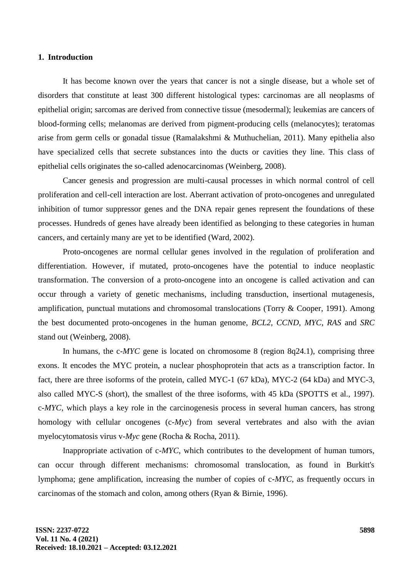#### **1. Introduction**

It has become known over the years that cancer is not a single disease, but a whole set of disorders that constitute at least 300 different histological types: carcinomas are all neoplasms of epithelial origin; sarcomas are derived from connective tissue (mesodermal); leukemias are cancers of blood-forming cells; melanomas are derived from pigment-producing cells (melanocytes); teratomas arise from germ cells or gonadal tissue (Ramalakshmi & Muthuchelian, 2011). Many epithelia also have specialized cells that secrete substances into the ducts or cavities they line. This class of epithelial cells originates the so-called adenocarcinomas (Weinberg, 2008).

Cancer genesis and progression are multi-causal processes in which normal control of cell proliferation and cell-cell interaction are lost. Aberrant activation of proto-oncogenes and unregulated inhibition of tumor suppressor genes and the DNA repair genes represent the foundations of these processes. Hundreds of genes have already been identified as belonging to these categories in human cancers, and certainly many are yet to be identified (Ward, 2002).

Proto-oncogenes are normal cellular genes involved in the regulation of proliferation and differentiation. However, if mutated, proto-oncogenes have the potential to induce neoplastic transformation. The conversion of a proto-oncogene into an oncogene is called activation and can occur through a variety of genetic mechanisms, including transduction, insertional mutagenesis, amplification, punctual mutations and chromosomal translocations (Torry & Cooper, 1991). Among the best documented proto-oncogenes in the human genome, *BCL2*, *CCND*, *MYC*, *RAS* and *SRC* stand out (Weinberg, 2008).

In humans, the c-*MYC* gene is located on chromosome 8 (region 8q24.1), comprising three exons. It encodes the MYC protein, a nuclear phosphoprotein that acts as a transcription factor. In fact, there are three isoforms of the protein, called MYC-1 (67 kDa), MYC-2 (64 kDa) and MYC-3, also called MYC-S (short), the smallest of the three isoforms, with 45 kDa (SPOTTS et al., 1997). c-*MYC*, which plays a key role in the carcinogenesis process in several human cancers, has strong homology with cellular oncogenes (c-*Myc*) from several vertebrates and also with the avian myelocytomatosis virus v-*Myc* gene (Rocha & Rocha, 2011).

Inappropriate activation of c-*MYC*, which contributes to the development of human tumors, can occur through different mechanisms: chromosomal translocation, as found in Burkitt's lymphoma; gene amplification, increasing the number of copies of c-*MYC*, as frequently occurs in carcinomas of the stomach and colon, among others (Ryan & Birnie, 1996).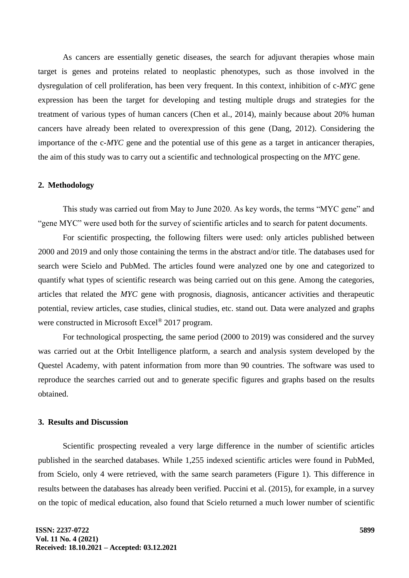As cancers are essentially genetic diseases, the search for adjuvant therapies whose main target is genes and proteins related to neoplastic phenotypes, such as those involved in the dysregulation of cell proliferation, has been very frequent. In this context, inhibition of c-*MYC* gene expression has been the target for developing and testing multiple drugs and strategies for the treatment of various types of human cancers (Chen et al., 2014), mainly because about 20% human cancers have already been related to overexpression of this gene (Dang, 2012). Considering the importance of the c-*MYC* gene and the potential use of this gene as a target in anticancer therapies, the aim of this study was to carry out a scientific and technological prospecting on the *MYC* gene.

## **2. Methodology**

This study was carried out from May to June 2020. As key words, the terms "MYC gene" and "gene MYC" were used both for the survey of scientific articles and to search for patent documents.

For scientific prospecting, the following filters were used: only articles published between 2000 and 2019 and only those containing the terms in the abstract and/or title. The databases used for search were Scielo and PubMed. The articles found were analyzed one by one and categorized to quantify what types of scientific research was being carried out on this gene. Among the categories, articles that related the *MYC* gene with prognosis, diagnosis, anticancer activities and therapeutic potential, review articles, case studies, clinical studies, etc. stand out. Data were analyzed and graphs were constructed in Microsoft Excel<sup>®</sup> 2017 program.

For technological prospecting, the same period (2000 to 2019) was considered and the survey was carried out at the Orbit Intelligence platform, a search and analysis system developed by the Questel Academy, with patent information from more than 90 countries. The software was used to reproduce the searches carried out and to generate specific figures and graphs based on the results obtained.

### **3. Results and Discussion**

Scientific prospecting revealed a very large difference in the number of scientific articles published in the searched databases. While 1,255 indexed scientific articles were found in PubMed, from Scielo, only 4 were retrieved, with the same search parameters (Figure 1). This difference in results between the databases has already been verified. Puccini et al. (2015), for example, in a survey on the topic of medical education, also found that Scielo returned a much lower number of scientific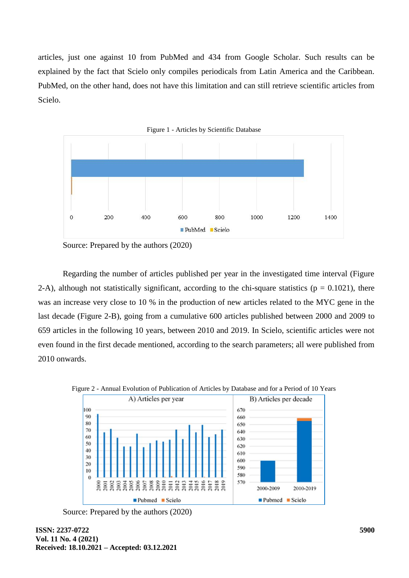articles, just one against 10 from PubMed and 434 from Google Scholar. Such results can be explained by the fact that Scielo only compiles periodicals from Latin America and the Caribbean. PubMed, on the other hand, does not have this limitation and can still retrieve scientific articles from Scielo.



Source: Prepared by the authors (2020)

Regarding the number of articles published per year in the investigated time interval (Figure 2-A), although not statistically significant, according to the chi-square statistics ( $p = 0.1021$ ), there was an increase very close to 10 % in the production of new articles related to the MYC gene in the last decade (Figure 2-B), going from a cumulative 600 articles published between 2000 and 2009 to 659 articles in the following 10 years, between 2010 and 2019. In Scielo, scientific articles were not even found in the first decade mentioned, according to the search parameters; all were published from 2010 onwards.



Figure 2 - Annual Evolution of Publication of Articles by Database and for a Period of 10 Years

Source: Prepared by the authors (2020)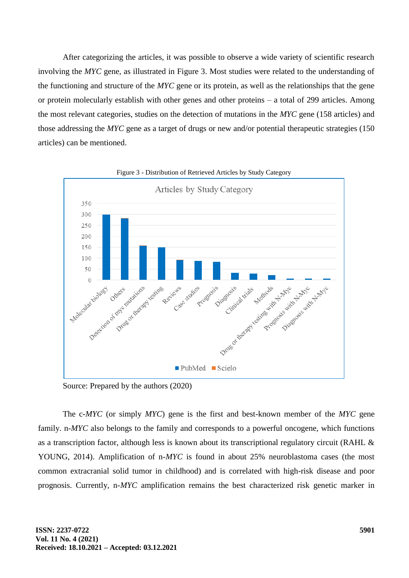After categorizing the articles, it was possible to observe a wide variety of scientific research involving the *MYC* gene, as illustrated in Figure 3. Most studies were related to the understanding of the functioning and structure of the *MYC* gene or its protein, as well as the relationships that the gene or protein molecularly establish with other genes and other proteins – a total of 299 articles. Among the most relevant categories, studies on the detection of mutations in the *MYC* gene (158 articles) and those addressing the *MYC* gene as a target of drugs or new and/or potential therapeutic strategies (150 articles) can be mentioned.



Figure 3 - Distribution of Retrieved Articles by Study Category

Source: Prepared by the authors (2020)

The c-*MYC* (or simply *MYC*) gene is the first and best-known member of the *MYC* gene family. n-*MYC* also belongs to the family and corresponds to a powerful oncogene, which functions as a transcription factor, although less is known about its transcriptional regulatory circuit (RAHL & YOUNG, 2014). Amplification of n-*MYC* is found in about 25% neuroblastoma cases (the most common extracranial solid tumor in childhood) and is correlated with high-risk disease and poor prognosis. Currently, n-*MYC* amplification remains the best characterized risk genetic marker in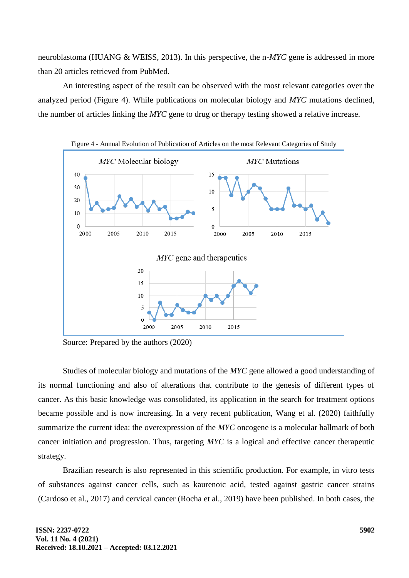neuroblastoma (HUANG & WEISS, 2013). In this perspective, the n-*MYC* gene is addressed in more than 20 articles retrieved from PubMed.

An interesting aspect of the result can be observed with the most relevant categories over the analyzed period (Figure 4). While publications on molecular biology and *MYC* mutations declined, the number of articles linking the *MYC* gene to drug or therapy testing showed a relative increase.



Source: Prepared by the authors (2020)

Studies of molecular biology and mutations of the *MYC* gene allowed a good understanding of its normal functioning and also of alterations that contribute to the genesis of different types of cancer. As this basic knowledge was consolidated, its application in the search for treatment options became possible and is now increasing. In a very recent publication, Wang et al. (2020) faithfully summarize the current idea: the overexpression of the *MYC* oncogene is a molecular hallmark of both cancer initiation and progression. Thus, targeting *MYC* is a logical and effective cancer therapeutic strategy.

Brazilian research is also represented in this scientific production. For example, in vitro tests of substances against cancer cells, such as kaurenoic acid, tested against gastric cancer strains (Cardoso et al., 2017) and cervical cancer (Rocha et al., 2019) have been published. In both cases, the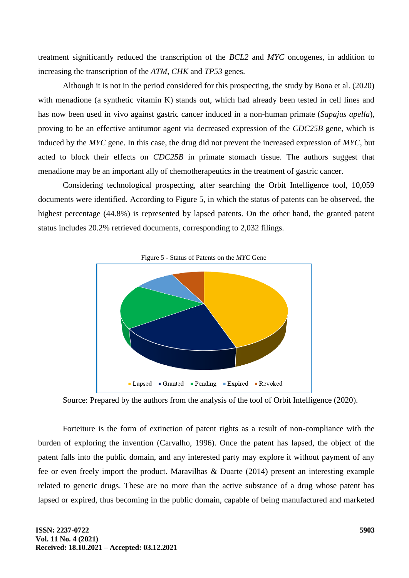treatment significantly reduced the transcription of the *BCL2* and *MYC* oncogenes, in addition to increasing the transcription of the *ATM*, *CHK* and *TP53* genes.

Although it is not in the period considered for this prospecting, the study by Bona et al. (2020) with menadione (a synthetic vitamin K) stands out, which had already been tested in cell lines and has now been used in vivo against gastric cancer induced in a non-human primate (*Sapajus apella*), proving to be an effective antitumor agent via decreased expression of the *CDC25B* gene, which is induced by the *MYC* gene. In this case, the drug did not prevent the increased expression of *MYC*, but acted to block their effects on *CDC25B* in primate stomach tissue. The authors suggest that menadione may be an important ally of chemotherapeutics in the treatment of gastric cancer.

Considering technological prospecting, after searching the Orbit Intelligence tool, 10,059 documents were identified. According to Figure 5, in which the status of patents can be observed, the highest percentage (44.8%) is represented by lapsed patents. On the other hand, the granted patent status includes 20.2% retrieved documents, corresponding to 2,032 filings.



Source: Prepared by the authors from the analysis of the tool of Orbit Intelligence (2020).

Forteiture is the form of extinction of patent rights as a result of non-compliance with the burden of exploring the invention (Carvalho, 1996). Once the patent has lapsed, the object of the patent falls into the public domain, and any interested party may explore it without payment of any fee or even freely import the product. Maravilhas & Duarte (2014) present an interesting example related to generic drugs. These are no more than the active substance of a drug whose patent has lapsed or expired, thus becoming in the public domain, capable of being manufactured and marketed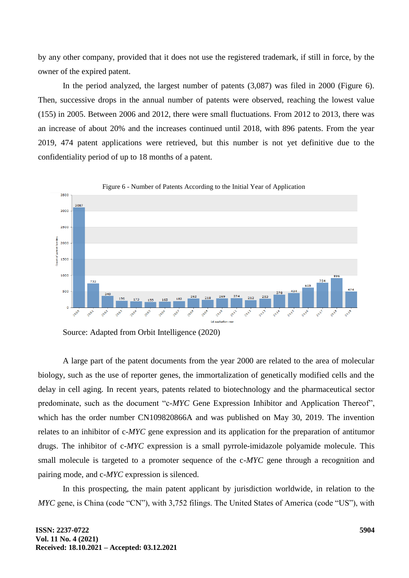by any other company, provided that it does not use the registered trademark, if still in force, by the owner of the expired patent.

In the period analyzed, the largest number of patents (3,087) was filed in 2000 (Figure 6). Then, successive drops in the annual number of patents were observed, reaching the lowest value (155) in 2005. Between 2006 and 2012, there were small fluctuations. From 2012 to 2013, there was an increase of about 20% and the increases continued until 2018, with 896 patents. From the year 2019, 474 patent applications were retrieved, but this number is not yet definitive due to the confidentiality period of up to 18 months of a patent.



Figure 6 - Number of Patents According to the Initial Year of Application

Source: Adapted from Orbit Intelligence (2020)

A large part of the patent documents from the year 2000 are related to the area of molecular biology, such as the use of reporter genes, the immortalization of genetically modified cells and the delay in cell aging. In recent years, patents related to biotechnology and the pharmaceutical sector predominate, such as the document "c-*MYC* Gene Expression Inhibitor and Application Thereof", which has the order number CN109820866A and was published on May 30, 2019. The invention relates to an inhibitor of c-*MYC* gene expression and its application for the preparation of antitumor drugs. The inhibitor of c-*MYC* expression is a small pyrrole-imidazole polyamide molecule. This small molecule is targeted to a promoter sequence of the c-*MYC* gene through a recognition and pairing mode, and c-*MYC* expression is silenced.

In this prospecting, the main patent applicant by jurisdiction worldwide, in relation to the *MYC* gene, is China (code "CN"), with 3,752 filings. The United States of America (code "US"), with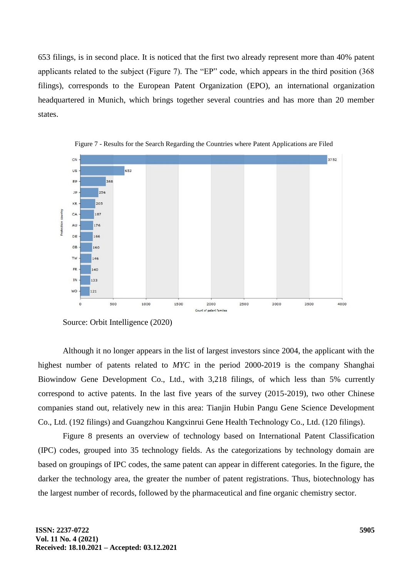653 filings, is in second place. It is noticed that the first two already represent more than 40% patent applicants related to the subject (Figure 7). The "EP" code, which appears in the third position (368 filings), corresponds to the European Patent Organization (EPO), an international organization headquartered in Munich, which brings together several countries and has more than 20 member states.



Figure 7 - Results for the Search Regarding the Countries where Patent Applications are Filed

Source: Orbit Intelligence (2020)

Although it no longer appears in the list of largest investors since 2004, the applicant with the highest number of patents related to *MYC* in the period 2000-2019 is the company Shanghai Biowindow Gene Development Co., Ltd., with 3,218 filings, of which less than 5% currently correspond to active patents. In the last five years of the survey (2015-2019), two other Chinese companies stand out, relatively new in this area: Tianjin Hubin Pangu Gene Science Development Co., Ltd. (192 filings) and Guangzhou Kangxinrui Gene Health Technology Co., Ltd. (120 filings).

Figure 8 presents an overview of technology based on International Patent Classification (IPC) codes, grouped into 35 technology fields. As the categorizations by technology domain are based on groupings of IPC codes, the same patent can appear in different categories. In the figure, the darker the technology area, the greater the number of patent registrations. Thus, biotechnology has the largest number of records, followed by the pharmaceutical and fine organic chemistry sector.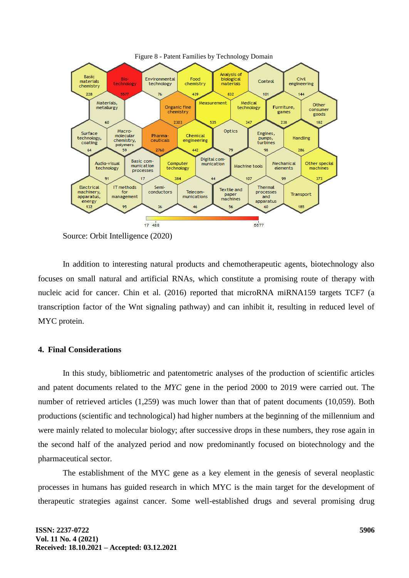

Source: Orbit Intelligence (2020)

In addition to interesting natural products and chemotherapeutic agents, biotechnology also focuses on small natural and artificial RNAs, which constitute a promising route of therapy with nucleic acid for cancer. Chin et al. (2016) reported that microRNA miRNA159 targets TCF7 (a transcription factor of the Wnt signaling pathway) and can inhibit it, resulting in reduced level of MYC protein.

## **4. Final Considerations**

In this study, bibliometric and patentometric analyses of the production of scientific articles and patent documents related to the *MYC* gene in the period 2000 to 2019 were carried out. The number of retrieved articles (1,259) was much lower than that of patent documents (10,059). Both productions (scientific and technological) had higher numbers at the beginning of the millennium and were mainly related to molecular biology; after successive drops in these numbers, they rose again in the second half of the analyzed period and now predominantly focused on biotechnology and the pharmaceutical sector.

The establishment of the MYC gene as a key element in the genesis of several neoplastic processes in humans has guided research in which MYC is the main target for the development of therapeutic strategies against cancer. Some well-established drugs and several promising drug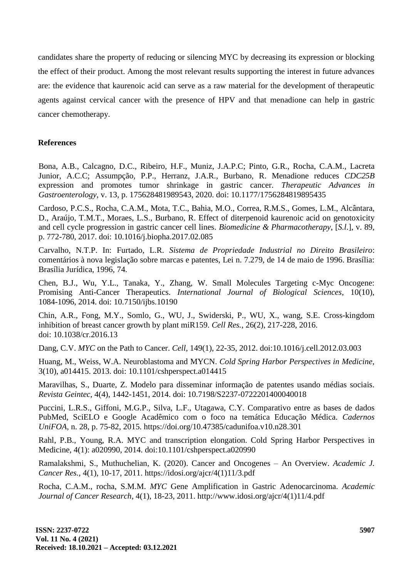candidates share the property of reducing or silencing MYC by decreasing its expression or blocking the effect of their product. Among the most relevant results supporting the interest in future advances are: the evidence that kaurenoic acid can serve as a raw material for the development of therapeutic agents against cervical cancer with the presence of HPV and that menadione can help in gastric cancer chemotherapy.

## **References**

Bona, A.B., Calcagno, D.C., Ribeiro, H.F., Muniz, J.A.P.C; Pinto, G.R., Rocha, C.A.M., Lacreta Junior, A.C.C; Assumpção, P.P., Herranz, J.A.R., Burbano, R. Menadione reduces *CDC25B* expression and promotes tumor shrinkage in gastric cancer. *Therapeutic Advances in Gastroenterology*, v. 13, p. 175628481989543, 2020. doi: 10.1177/1756284819895435

Cardoso, P.C.S., Rocha, C.A.M., Mota, T.C., Bahia, M.O., Correa, R.M.S., Gomes, L.M., Alcântara, D., Araújo, T.M.T., Moraes, L.S., Burbano, R. Effect of diterpenoid kaurenoic acid on genotoxicity and cell cycle progression in gastric cancer cell lines. *Biomedicine & Pharmacotherapy*, [*S.l*.], v. 89, p. 772-780, 2017. doi: 10.1016/j.biopha.2017.02.085

Carvalho, N.T.P. In: Furtado, L.R. *Sistema de Propriedade Industrial no Direito Brasileiro*: comentários à nova legislação sobre marcas e patentes, Lei n. 7.279, de 14 de maio de 1996. Brasília: Brasília Jurídica, 1996, 74.

Chen, B.J., Wu, Y.L., Tanaka, Y., Zhang, W. Small Molecules Targeting c-Myc Oncogene: Promising Anti-Cancer Therapeutics. *International Journal of Biological Sciences*, 10(10), 1084-1096, 2014. doi: 10.7150/ijbs.10190

Chin, A.R., Fong, M.Y., Somlo, G., WU, J., Swiderski, P., WU, X., wang, S.E. Cross-kingdom inhibition of breast cancer growth by plant miR159. *Cell Res.*, 26(2), 217-228, 2016. doi: 10.1038/cr.2016.13

Dang, C.V. *MYC* on the Path to Cancer. *Cell*, 149(1), 22-35, 2012. doi:10.1016/j.cell.2012.03.003

Huang, M., Weiss, W.A. Neuroblastoma and MYCN. *Cold Spring Harbor Perspectives in Medicine,*  3(10), a014415. 2013. doi: 10.1101/cshperspect.a014415

Maravilhas, S., Duarte, Z. Modelo para disseminar informação de patentes usando médias sociais. *Revista Geintec*, 4(4), 1442-1451, 2014. doi: 10.7198/S2237-0722201400040018

Puccini, L.R.S., Giffoni, M.G.P., Silva, L.F., Utagawa, C.Y. Comparativo entre as bases de dados PubMed, SciELO e Google Acadêmico com o foco na temática Educação Médica. *Cadernos UniFOA*, n. 28, p. 75-82, 2015. https://doi.org/10.47385/cadunifoa.v10.n28.301

Rahl, P.B., Young, R.A. MYC and transcription elongation. Cold Spring Harbor Perspectives in Medicine, 4(1): a020990, 2014. doi:10.1101/cshperspect.a020990

Ramalakshmi, S., Muthuchelian, K. (2020). Cancer and Oncogenes – An Overview. *Academic J. Cancer Res.*, 4(1), 10-17, 2011. https://idosi.org/ajcr/4(1)11/3.pdf

Rocha, C.A.M., rocha, S.M.M. *MYC* Gene Amplification in Gastric Adenocarcinoma. *Academic Journal of Cancer Research*, 4(1), 18-23, 2011. http://www.idosi.org/ajcr/4(1)11/4.pdf